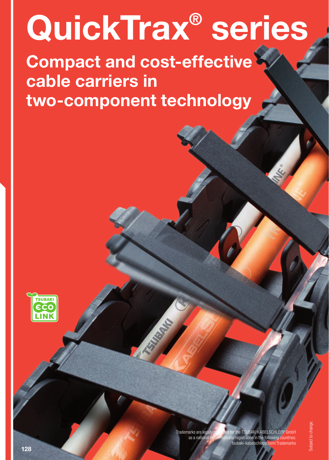# QuickTrax® series

Compact and cost-effective cable carriers in two-component technology



Trademarks are legally protected for the TSUBAKI KABELSCHLEPP GmbH as a national or international registration in the following countries tsubaki-kabelschlepp.com/Trademarks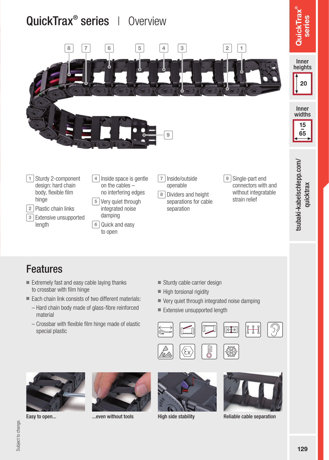



### Features

- Extremely fast and easy cable laying thanks to crossbar with film hinge
- Each chain link consists of two different materials:
	- Hard chain body made of glass-fibre reinforced material
	- Crossbar with flexible film hinge made of elastic special plastic
- Sturdy cable carrier design
- High torsional rigidity
- Very quiet through integrated noise damping
- Extensive unsupported length











Easy to open... ...even without tools High side stability Reliable cable separation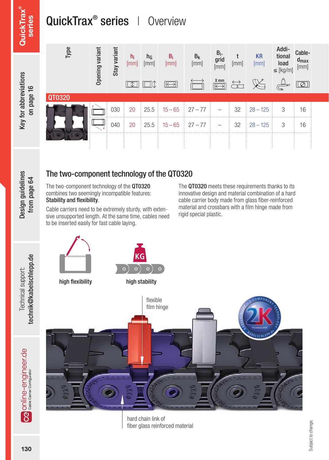## QuickTrax<sup>®</sup> series | Overview



Design guidelines Design guidelines from page 64 from page 64

Technical support:

#### The two-component technology of the QT0320

The two-component technology of the QT0320 combines two seemingly incompatible features: Stability and flexibility.

Cable carriers need to be extremely sturdy, with extensive unsupported length. At the same time, cables need to be inserted easily for fast cable laying.

The QT0320 meets these requirements thanks to its innovative design and material combination of a hard cable carrier body made from glass fiber-reinforced material and crossbars with a film hinge made from rigid special plastic.



hard chain link of fiber glass reinforced material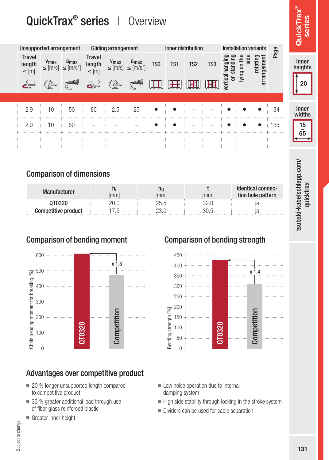### QuickTrax<sup>®</sup> series | Overview

|                                                                            |                                                                                                                                                                                                                                                                                                                                                     | Unsupported arrangement                                                                                                      | QuickTrax <sup>®</sup> series                                                                                                                                                                                                                                                                                                                                                         | Gliding arrangement      | Overview                                                                     |                 | Inner distribution  |                          |                                |                                                 |          | <b>Installation variants</b> |      | Э<br>8<br>Quick<br>seri |
|----------------------------------------------------------------------------|-----------------------------------------------------------------------------------------------------------------------------------------------------------------------------------------------------------------------------------------------------------------------------------------------------------------------------------------------------|------------------------------------------------------------------------------------------------------------------------------|---------------------------------------------------------------------------------------------------------------------------------------------------------------------------------------------------------------------------------------------------------------------------------------------------------------------------------------------------------------------------------------|--------------------------|------------------------------------------------------------------------------|-----------------|---------------------|--------------------------|--------------------------------|-------------------------------------------------|----------|------------------------------|------|-------------------------|
| <b>Travel</b><br>length<br>$\leq$ [m]<br>$\overleftrightarrow{\mathbf{c}}$ | $\begin{picture}(20,20) \put(0,0){\line(1,0){10}} \put(15,0){\line(1,0){10}} \put(15,0){\line(1,0){10}} \put(15,0){\line(1,0){10}} \put(15,0){\line(1,0){10}} \put(15,0){\line(1,0){10}} \put(15,0){\line(1,0){10}} \put(15,0){\line(1,0){10}} \put(15,0){\line(1,0){10}} \put(15,0){\line(1,0){10}} \put(15,0){\line(1,0){10}} \put(15,0){\line(1$ | $V_{\text{max}}$ $a_{\text{max}}$<br>$\leq$ [m/s] $\leq$ [m/s <sup>2</sup> ]<br>$\overbrace{\mathbb{G}}^{\mathsf{coododol}}$ | <b>Travel</b><br>length<br>$\leq$ [m]<br>$\begin{picture}(120,15) \put(0,0){\line(1,0){155}} \put(15,0){\line(1,0){155}} \put(15,0){\line(1,0){155}} \put(15,0){\line(1,0){155}} \put(15,0){\line(1,0){155}} \put(15,0){\line(1,0){155}} \put(15,0){\line(1,0){155}} \put(15,0){\line(1,0){155}} \put(15,0){\line(1,0){155}} \put(15,0){\line(1,0){155}} \put(15,0){\line(1,0){155}}$ |                          | $V_{\text{max}}$ $a_{\text{max}}$<br>$\leq$ [m/s] $\leq$ [m/s <sup>2</sup> ] | T <sub>S0</sub> | TS1<br>$\mathbb{H}$ | TS <sub>2</sub>          | TS <sub>3</sub><br>$\mathbb H$ | hangin<br>standir<br>vertical<br>$\overline{a}$ | lying on | arrangement<br>rotating      | Page | Inner<br>heights<br>20  |
| 2.9                                                                        | 10 <sup>1</sup>                                                                                                                                                                                                                                                                                                                                     | 50                                                                                                                           | 80                                                                                                                                                                                                                                                                                                                                                                                    | 2.5                      | 25                                                                           |                 |                     | $\overline{\phantom{0}}$ | -                              |                                                 |          | $\bullet$                    | 134  | Inner<br>widths         |
| 2.9                                                                        | 10                                                                                                                                                                                                                                                                                                                                                  | 50                                                                                                                           | -                                                                                                                                                                                                                                                                                                                                                                                     | $\overline{\phantom{a}}$ |                                                                              |                 |                     | -                        |                                |                                                 |          | $\bullet$<br>$\sim$          | 135  | $\frac{15}{1}$<br>65    |

#### Comparison of dimensions

| Manufacturer        | mm' |      | mm | -identical connec-<br>tion hole pattern |  |  |
|---------------------|-----|------|----|-----------------------------------------|--|--|
|                     |     | 25.5 |    |                                         |  |  |
| Competitive product |     |      |    |                                         |  |  |



### Advantages over competitive product

- 20 % longer unsupported length compared to competitive product
- 33 % greater additional load through use of fiber glass reinforced plastic
- Greater inner height

### Comparison of bending moment Comparison of bending strength



- Low noise operation due to internal damping system
- High side stability through locking in the stroke system
- Dividers can be used for cable separation

isubaki-kabelschlepp.com/ quicktrax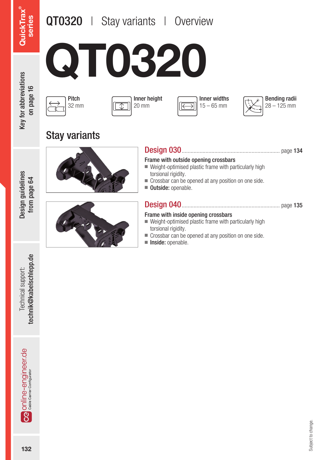### QT0320 | Stay variants | Overview



Key for abbreviations Key for abbreviations on page 16

Pitch 32 mm







Stay variants







Design 030.................................................................. page 134

#### Frame with outside opening crossbars

- Weight-optimised plastic frame with particularly high torsional rigidity.
- Crossbar can be opened at any position on one side.
- Outside: openable.

#### Design 040.................................................................. page 135

#### Frame with inside opening crossbars

- $\blacksquare$  Weight-optimised plastic frame with particularly high torsional rigidity.
- Crossbar can be opened at any position on one side.
- Inside: openable.

technik@kabelschlepp.de Technical support:

**132Technical support:** technical support:<br>**technik@kabelschlepp.de Ca** online-engineer de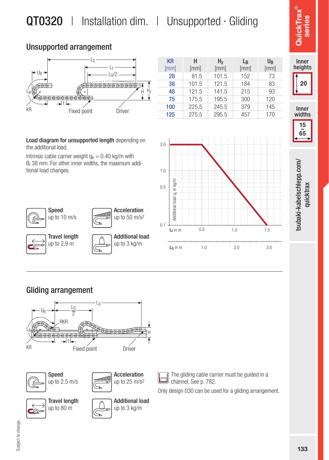### QT0320 | Installation dim. | Unsupported · Gliding

#### Unsupported arrangement



KR [mm] H [mm] Hz [mm] **L**<sub>R</sub> [mm] U<sub>R</sub>  $[mm]$ **28** 81.5 101.5 152 73 **38 101.5 121.5 184 83**<br>**48 121.5 141.5 215 93** 48 121.5 141.5 75 175.5 195.5 300 120 100 225.5 245.5 379 145 125 275.5 295.5 457 170



Inner heights

QuickTrax® series

werlyord

isubaki-kabelschlepp.com/ 133tsubaki-kabelschlepp.com/ quicktrax quicktrax

Load diagram for unsupported length depending on the additional load.

Intrinsic cable carrier weight  $q_k = 0.40$  kg/m with Bi 38 mm. For other inner widths, the maximum additional load changes.





Acceleration up to 50 m/s2





The gliding cable carrier must be guided in a lol channel. See p. 782.

Only design 030 can be used for a gliding arrangement.

# Subject to change. Subject to change.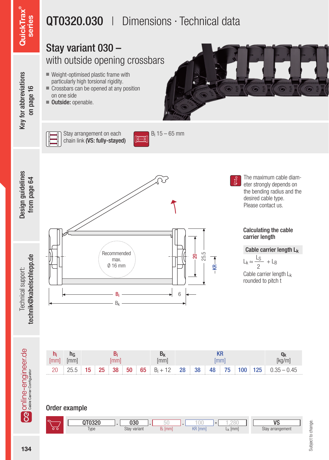### $\mathsf{QuickTrax}^\circ$ QuickTrax® series

Key for abbreviations on page 16

Key for abbreviations

### QT0320.030 | Dimensions · Technical data

#### Stay variant 030 – with outside opening crossbars ■ Weight-optimised plastic frame with particularly high torsional rigidity. ■ Crossbars can be opened at any position on one side ■ Outside: openable. Stay arrangement on each Bi 15 – 65 mm chain link (VS: fully-stayed) ात्ज

Design guidelines Design guidelines from page 64 from page 64



The maximum cable diameter strongly depends on the bending radius and the desired cable type. Please contact us.

#### Calculating the cable carrier length

Cable carrier length Lk

 $L_k \approx \frac{L_S}{2} + L_B$ 2

Cable carrier length Lk rounded to pitch t



 $-25.5 -8R$ 

#### Order example

|                                       | ∩רפ∩⊤ר           | חכּח<br>บงน     |    |                  | 152                       | 110                                     |
|---------------------------------------|------------------|-----------------|----|------------------|---------------------------|-----------------------------------------|
| $\overline{\circ}$ $\overline{\circ}$ | Type<br>$\cdots$ | Stay<br>variant | mm | KR<br><b>Imm</b> | $\left[ mm\right]$<br>. . | <b>Stav</b><br><sub>I</sub> arrangement |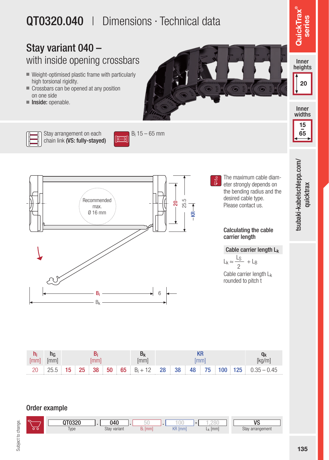### QT0320.040 | Dimensions · Technical data

Bi 15 – 65 mm

### Stay variant 040 – with inside opening crossbars

- Weight-optimised plastic frame with particularly high torsional rigidity.
- Crossbars can be opened at any position on one side
- Inside: openable.





Stay arrangement on each chain link (VS: fully-stayed)



 $R \rightarrow R$ 

The maximum cable diameter strongly depends on the bending radius and the desired cable type. Please contact us.

#### Calculating the cable carrier length

#### Cable carrier length Lk

Cable carrier length L<sub>k</sub> rounded to pitch t  $L_k \approx \frac{L_S}{2} + L_B$ 2

| Imm | <br>,,,,,, |                                                                                                     |  |
|-----|------------|-----------------------------------------------------------------------------------------------------|--|
|     |            | $25.5$   15   25   38   50   65   B <sub>i</sub> + 12   28   38   48   75   100   125   0.35 - 0.45 |  |

#### Order example

Type Stay variant B<sub>i</sub> [mm] KR [mm] L<sub>k</sub> [mm] Stay arrangement  $KR$  [mm] QT0320 . 040 . 50 . 100 - 1,280 **VS** Stay variant 040

series

15  $-\frac{1}{65}$ 

tsubaki-kabelschlepp.com/ quicktrax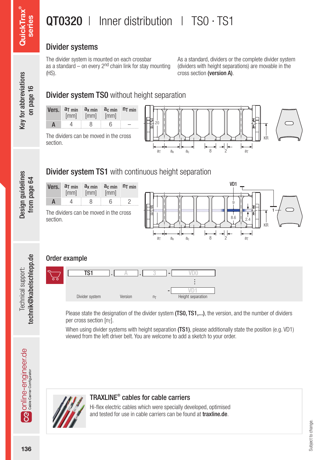### QT0320 | Inner distribution | TS0 · TS1

#### Divider systems

The divider system is mounted on each crossbar as a standard – on every 2<sup>nd</sup> chain link for stay mounting (HS).

As a standard, dividers or the complete divider system (dividers with height separations) are movable in the cross section (version A).

ter and the encylineer.de rechnical support: Design guidelines Key for abbreviations **QuickTrax® هceries definit**<br>© معناس مع التفاس المعدي بعد العلم المعدل والمعدل والتفاسية والتفاسية المعدل والتفاسية والتفاسية المعدل وا Key for abbreviations **Key for abbreviations** on page 16

Design guidelines from page 64

technik@kabelschlepp.de Technical support:

Design guidelines

### **Divider system TS0** without height separation

|   | Vers. $a_{\text{T min}}$ $a_{\text{x min}}$<br>[mm] | [mm] | $ac$ min $nT$ min<br>[mm] |  |
|---|-----------------------------------------------------|------|---------------------------|--|
| А |                                                     | 8    | հ                         |  |



The dividers can be moved in the cross section.

### Divider system TS1 with continuous height separation



#### Order example



Please state the designation of the divider system (TS0, TS1,...), the version, and the number of dividers per cross section [nT].

When using divider systems with height separation (TS1), please additionally state the position (e.g. VD1) viewed from the left driver belt. You are welcome to add a sketch to your order.

#### TRAXLINE® cables for cable carriers

Hi-flex electric cables which were specially developed, optimised and tested for use in cable carriers can be found at **traxline.de**.

**Ca** online-engineer.de